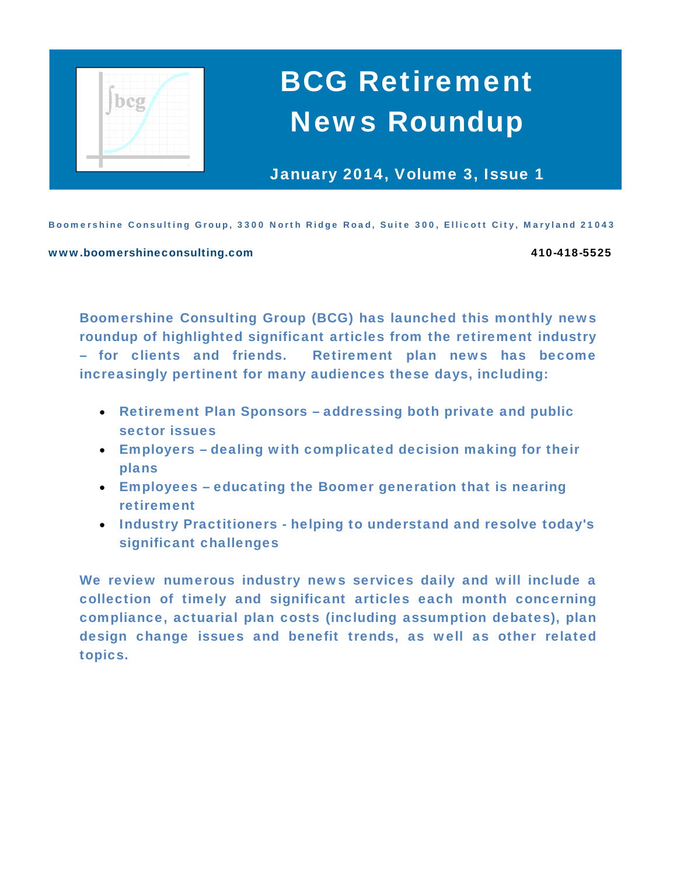

# BCG Retirement News Roundup

January 2014, Volume 3, Issue 1

Boomershine Consulting Group, 3300 North Ridge Road, Suite 300, Ellicott City, Maryland 21043

#### www.boomershineconsulting.com and the state of the 410-418-5525

Boomershine Consulting Group (BCG) has launched this monthly news roundup of highlighted significant articles from the retirement industry – for clients and friends. Retirement plan news has become increasingly pertinent for many audiences these days, including:

- Retirement Plan Sponsors addressing both private and public sector issues
- Employers dealing with complicated decision making for their plans
- Employees educating the Boomer generation that is nearing retirement
- Industry Practitioners helping to understand and resolve today's significant challenges

We review numerous industry news services daily and will include a collection of timely and significant articles each month concerning compliance, actuarial plan costs (including assumption debates), plan design change issues and benefit trends, as well as other related topics.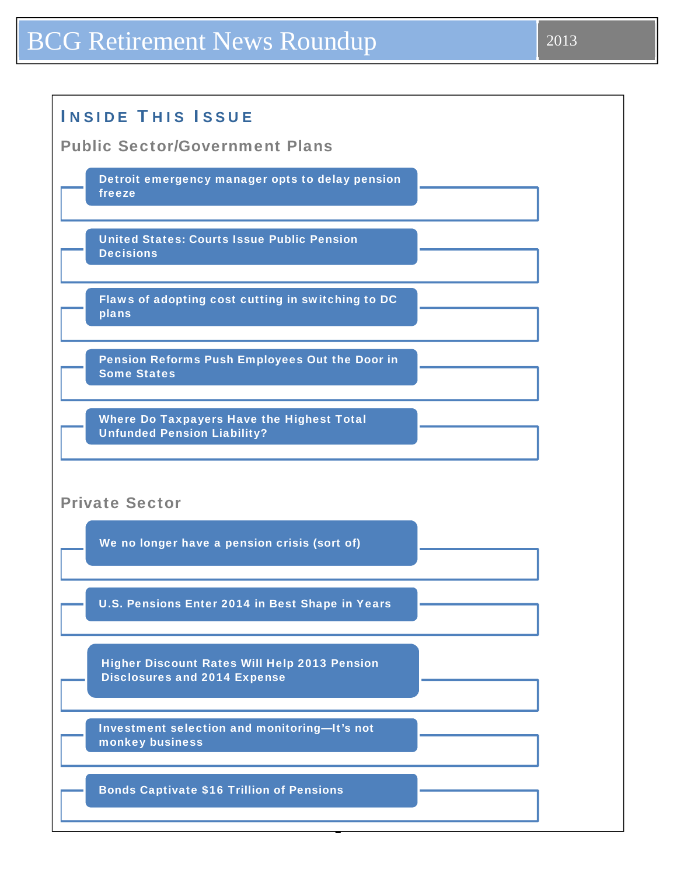| <b>INSIDE THIS ISSUE</b>                                                                   |
|--------------------------------------------------------------------------------------------|
| <b>Public Sector/Government Plans</b>                                                      |
| Detroit emergency manager opts to delay pension<br>freeze                                  |
| <b>United States: Courts Issue Public Pension</b><br><b>Decisions</b>                      |
| Flaws of adopting cost cutting in switching to DC<br>plans                                 |
| Pension Reforms Push Employees Out the Door in<br><b>Some States</b>                       |
| Where Do Taxpayers Have the Highest Total<br><b>Unfunded Pension Liability?</b>            |
| <b>Private Sector</b>                                                                      |
|                                                                                            |
| We no longer have a pension crisis (sort of)                                               |
| U.S. Pensions Enter 2014 in Best Shape in Years                                            |
| <b>Higher Discount Rates Will Help 2013 Pension</b><br><b>Disclosures and 2014 Expense</b> |
| Investment selection and monitoring-It's not<br>monkey business                            |
| <b>Bonds Captivate \$16 Trillion of Pensions</b>                                           |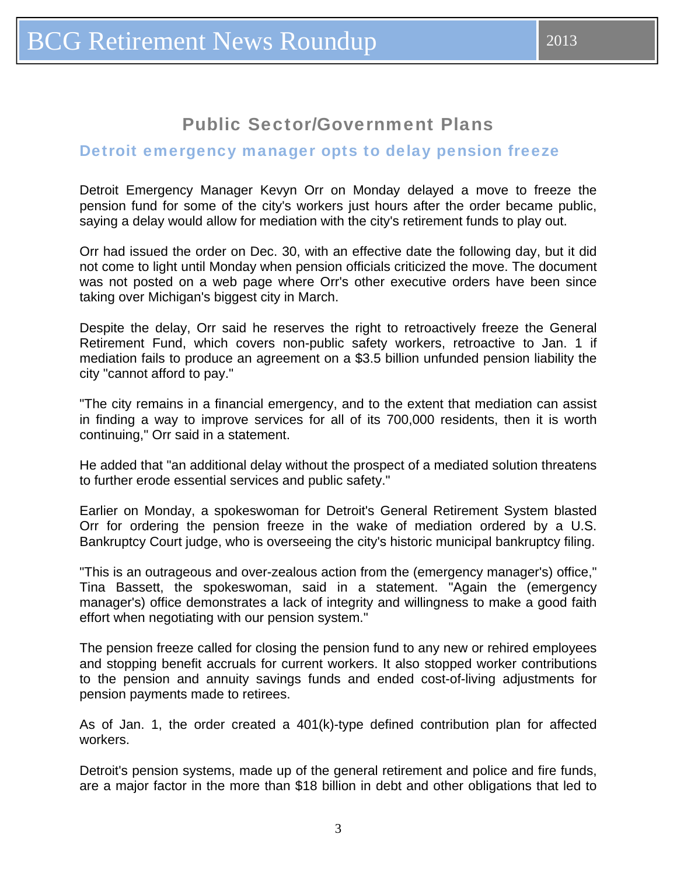# Public Sector/Government Plans

### <span id="page-2-0"></span>Detroit emergency manager opts to delay pension freeze

Detroit Emergency Manager Kevyn Orr on Monday delayed a move to freeze the pension fund for some of the city's workers just hours after the order became public, saying a delay would allow for mediation with the city's retirement funds to play out.

Orr had issued the order on Dec. 30, with an effective date the following day, but it did not come to light until Monday when pension officials criticized the move. The document was not posted on a web page where Orr's other executive orders have been since taking over Michigan's biggest city in March.

Despite the delay, Orr said he reserves the right to retroactively freeze the General Retirement Fund, which covers non-public safety workers, retroactive to Jan. 1 if mediation fails to produce an agreement on a \$3.5 billion unfunded pension liability the city "cannot afford to pay."

"The city remains in a financial emergency, and to the extent that mediation can assist in finding a way to improve services for all of its 700,000 residents, then it is worth continuing," Orr said in a statement.

He added that "an additional delay without the prospect of a mediated solution threatens to further erode essential services and public safety."

Earlier on Monday, a spokeswoman for Detroit's General Retirement System blasted Orr for ordering the pension freeze in the wake of mediation ordered by a U.S. Bankruptcy Court judge, who is overseeing the city's historic municipal bankruptcy filing.

"This is an outrageous and over-zealous action from the (emergency manager's) office," Tina Bassett, the spokeswoman, said in a statement. "Again the (emergency manager's) office demonstrates a lack of integrity and willingness to make a good faith effort when negotiating with our pension system."

The pension freeze called for closing the pension fund to any new or rehired employees and stopping benefit accruals for current workers. It also stopped worker contributions to the pension and annuity savings funds and ended cost-of-living adjustments for pension payments made to retirees.

As of Jan. 1, the order created a 401(k)-type defined contribution plan for affected workers.

Detroit's pension systems, made up of the general retirement and police and fire funds, are a major factor in the more than \$18 billion in debt and other obligations that led to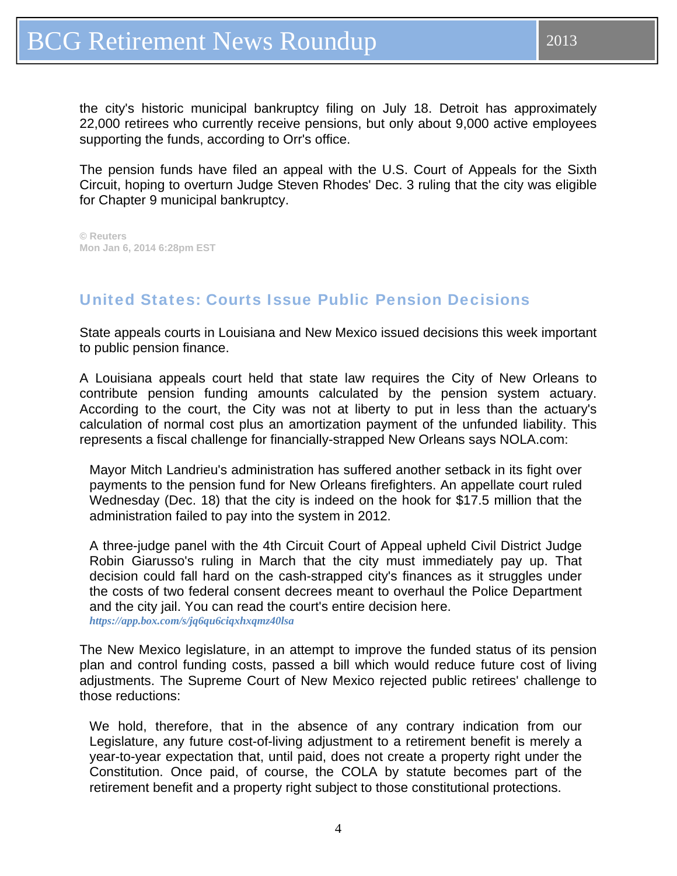<span id="page-3-0"></span>the city's historic municipal bankruptcy filing on July 18. Detroit has approximately 22,000 retirees who currently receive pensions, but only about 9,000 active employees supporting the funds, according to Orr's office.

The pension funds have filed an appeal with the U.S. Court of Appeals for the Sixth Circuit, hoping to overturn Judge Steven Rhodes' Dec. 3 ruling that the city was eligible for Chapter 9 municipal bankruptcy.

**© Reuters Mon Jan 6, 2014 6:28pm EST** 

### United States: Courts Issue Public Pension Decisions

State appeals courts in Louisiana and New Mexico issued decisions this week important to public pension finance.

A Louisiana appeals court held that state law requires the City of New Orleans to contribute pension funding amounts calculated by the pension system actuary. According to the court, the City was not at liberty to put in less than the actuary's calculation of normal cost plus an amortization payment of the unfunded liability. This represents a fiscal challenge for financially-strapped New Orleans says NOLA.com:

Mayor Mitch Landrieu's administration has suffered another setback in its fight over payments to the pension fund for New Orleans firefighters. An appellate court ruled Wednesday (Dec. 18) that the city is indeed on the hook for \$17.5 million that the administration failed to pay into the system in 2012.

A three-judge panel with the 4th Circuit Court of Appeal upheld Civil District Judge Robin Giarusso's ruling in March that the city must immediately pay up. That decision could fall hard on the cash-strapped city's finances as it struggles under the costs of two federal consent decrees meant to overhaul the Police Department and the city jail. You can read the court's entire decision here. *https://app.box.com/s/jq6qu6ciqxhxqmz40lsa*

The New Mexico legislature, in an attempt to improve the funded status of its pension plan and control funding costs, passed a bill which would reduce future cost of living adjustments. The Supreme Court of New Mexico rejected public retirees' challenge to those reductions:

We hold, therefore, that in the absence of any contrary indication from our Legislature, any future cost-of-living adjustment to a retirement benefit is merely a year-to-year expectation that, until paid, does not create a property right under the Constitution. Once paid, of course, the COLA by statute becomes part of the retirement benefit and a property right subject to those constitutional protections.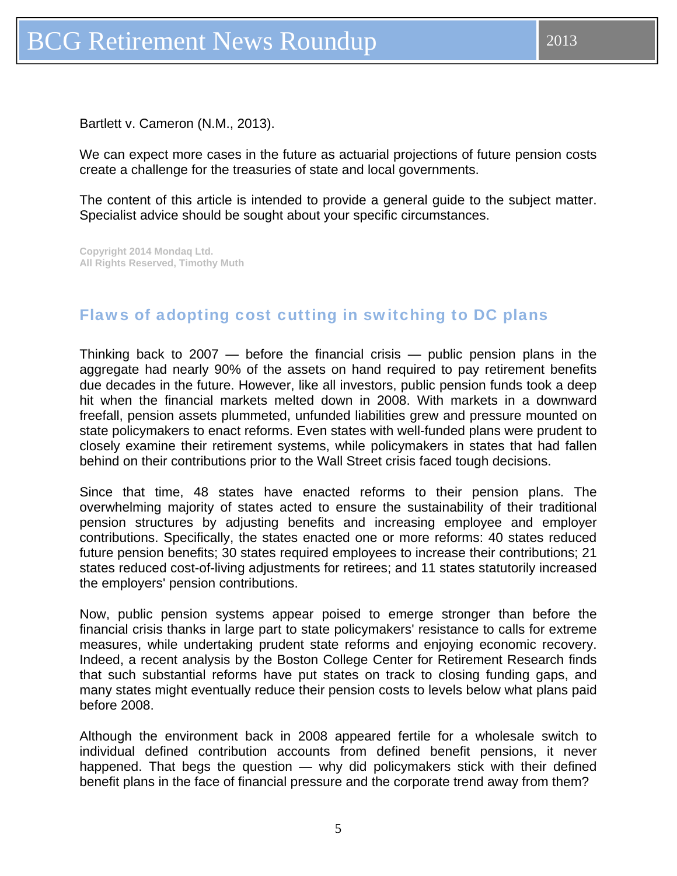<span id="page-4-0"></span>Bartlett v. Cameron (N.M., 2013).

We can expect more cases in the future as actuarial projections of future pension costs create a challenge for the treasuries of state and local governments.

The content of this article is intended to provide a general guide to the subject matter. Specialist advice should be sought about your specific circumstances.

**Copyright 2014 Mondaq Ltd. All Rights Reserved, Timothy Muth** 

### Flaws of adopting cost cutting in switching to DC plans

Thinking back to 2007 — before the financial crisis — public pension plans in the aggregate had nearly 90% of the assets on hand required to pay retirement benefits due decades in the future. However, like all investors, public pension funds took a deep hit when the financial markets melted down in 2008. With markets in a downward freefall, pension assets plummeted, unfunded liabilities grew and pressure mounted on state policymakers to enact reforms. Even states with well-funded plans were prudent to closely examine their retirement systems, while policymakers in states that had fallen behind on their contributions prior to the Wall Street crisis faced tough decisions.

Since that time, 48 states have enacted reforms to their pension plans. The overwhelming majority of states acted to ensure the sustainability of their traditional pension structures by adjusting benefits and increasing employee and employer contributions. Specifically, the states enacted one or more reforms: 40 states reduced future pension benefits; 30 states required employees to increase their contributions; 21 states reduced cost-of-living adjustments for retirees; and 11 states statutorily increased the employers' pension contributions.

Now, public pension systems appear poised to emerge stronger than before the financial crisis thanks in large part to state policymakers' resistance to calls for extreme measures, while undertaking prudent state reforms and enjoying economic recovery. Indeed, a recent analysis by the Boston College Center for Retirement Research finds that such substantial reforms have put states on track to closing funding gaps, and many states might eventually reduce their pension costs to levels below what plans paid before 2008.

Although the environment back in 2008 appeared fertile for a wholesale switch to individual defined contribution accounts from defined benefit pensions, it never happened. That begs the question — why did policymakers stick with their defined benefit plans in the face of financial pressure and the corporate trend away from them?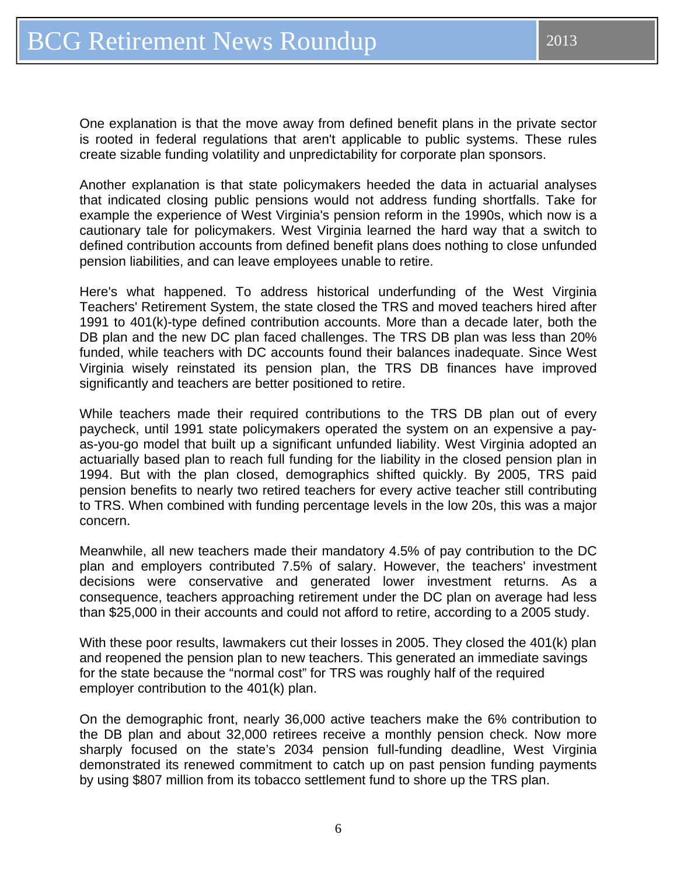One explanation is that the move away from defined benefit plans in the private sector is rooted in federal regulations that aren't applicable to public systems. These rules create sizable funding volatility and unpredictability for corporate plan sponsors.

Another explanation is that state policymakers heeded the data in actuarial analyses that indicated closing public pensions would not address funding shortfalls. Take for example the experience of West Virginia's pension reform in the 1990s, which now is a cautionary tale for policymakers. West Virginia learned the hard way that a switch to defined contribution accounts from defined benefit plans does nothing to close unfunded pension liabilities, and can leave employees unable to retire.

Here's what happened. To address historical underfunding of the West Virginia Teachers' Retirement System, the state closed the TRS and moved teachers hired after 1991 to 401(k)-type defined contribution accounts. More than a decade later, both the DB plan and the new DC plan faced challenges. The TRS DB plan was less than 20% funded, while teachers with DC accounts found their balances inadequate. Since West Virginia wisely reinstated its pension plan, the TRS DB finances have improved significantly and teachers are better positioned to retire.

While teachers made their required contributions to the TRS DB plan out of every paycheck, until 1991 state policymakers operated the system on an expensive a payas-you-go model that built up a significant unfunded liability. West Virginia adopted an actuarially based plan to reach full funding for the liability in the closed pension plan in 1994. But with the plan closed, demographics shifted quickly. By 2005, TRS paid pension benefits to nearly two retired teachers for every active teacher still contributing to TRS. When combined with funding percentage levels in the low 20s, this was a major concern.

Meanwhile, all new teachers made their mandatory 4.5% of pay contribution to the DC plan and employers contributed 7.5% of salary. However, the teachers' investment decisions were conservative and generated lower investment returns. As a consequence, teachers approaching retirement under the DC plan on average had less than \$25,000 in their accounts and could not afford to retire, according to a 2005 study.

With these poor results, lawmakers cut their losses in 2005. They closed the 401(k) plan and reopened the pension plan to new teachers. This generated an immediate savings for the state because the "normal cost" for TRS was roughly half of the required employer contribution to the 401(k) plan.

On the demographic front, nearly 36,000 active teachers make the 6% contribution to the DB plan and about 32,000 retirees receive a monthly pension check. Now more sharply focused on the state's 2034 pension full-funding deadline, West Virginia demonstrated its renewed commitment to catch up on past pension funding payments by using \$807 million from its tobacco settlement fund to shore up the TRS plan.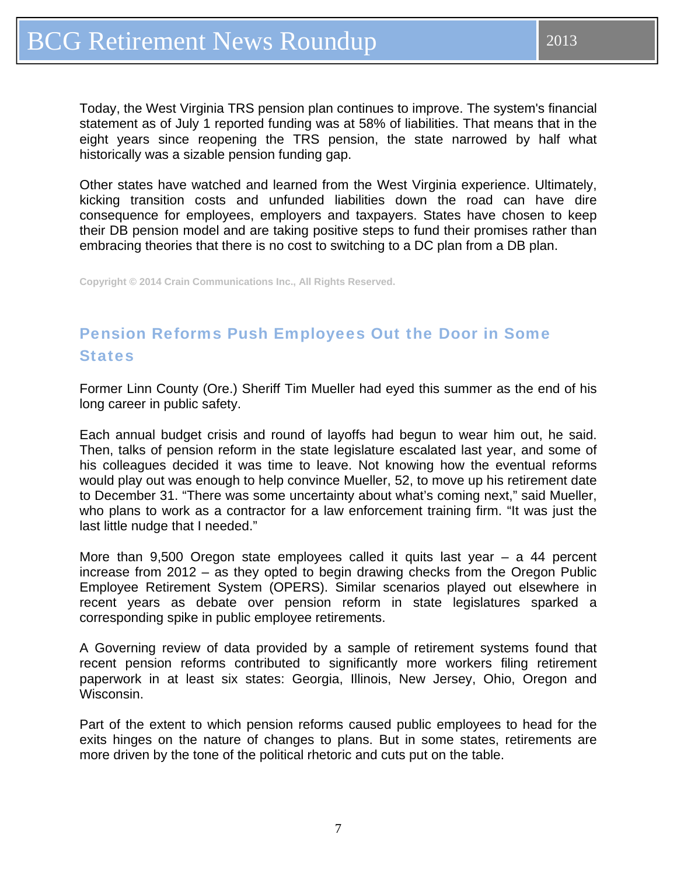<span id="page-6-0"></span>Today, the West Virginia TRS pension plan continues to improve. The system's financial statement as of July 1 reported funding was at 58% of liabilities. That means that in the eight years since reopening the TRS pension, the state narrowed by half what historically was a sizable pension funding gap.

Other states have watched and learned from the West Virginia experience. Ultimately, kicking transition costs and unfunded liabilities down the road can have dire consequence for employees, employers and taxpayers. States have chosen to keep their DB pension model and are taking positive steps to fund their promises rather than embracing theories that there is no cost to switching to a DC plan from a DB plan.

**Copyright © 2014 Crain Communications Inc., All Rights Reserved.**

# Pension Reforms Push Employees Out the Door in Some **States**

Former Linn County (Ore.) Sheriff Tim Mueller had eyed this summer as the end of his long career in public safety.

Each annual budget crisis and round of layoffs had begun to wear him out, he said. Then, talks of pension reform in the state legislature escalated last year, and some of his colleagues decided it was time to leave. Not knowing how the eventual reforms would play out was enough to help convince Mueller, 52, to move up his retirement date to December 31. "There was some uncertainty about what's coming next," said Mueller, who plans to work as a contractor for a law enforcement training firm. "It was just the last little nudge that I needed."

More than 9,500 Oregon state employees called it quits last year – a 44 percent increase from 2012 – as they opted to begin drawing checks from the Oregon Public Employee Retirement System (OPERS). Similar scenarios played out elsewhere in recent years as debate over pension reform in state legislatures sparked a corresponding spike in public employee retirements.

A Governing review of data provided by a sample of retirement systems found that recent pension reforms contributed to significantly more workers filing retirement paperwork in at least six states: Georgia, Illinois, New Jersey, Ohio, Oregon and Wisconsin.

Part of the extent to which pension reforms caused public employees to head for the exits hinges on the nature of changes to plans. But in some states, retirements are more driven by the tone of the political rhetoric and cuts put on the table.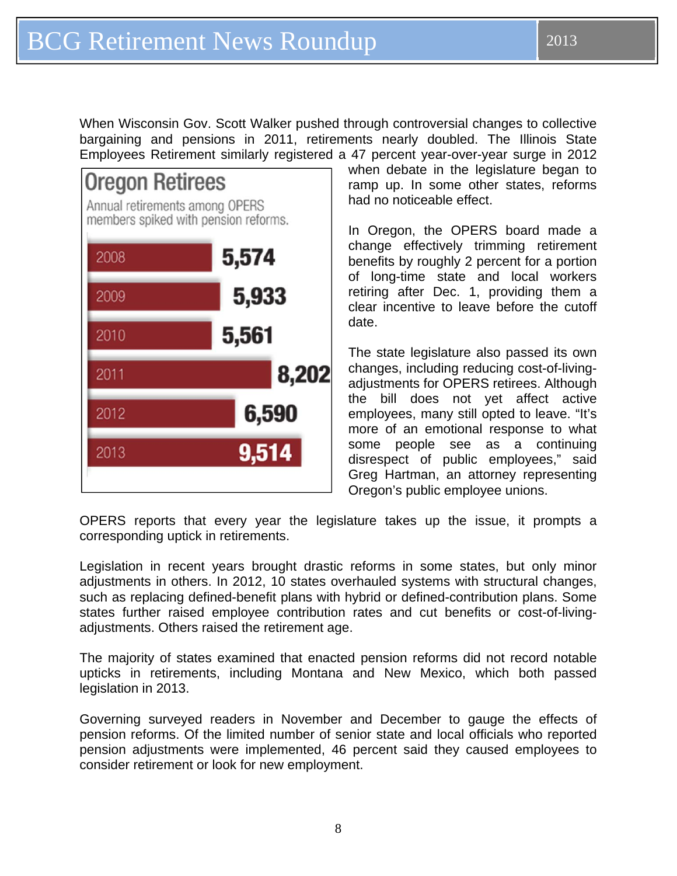

when debate in the legislature began to ramp up. In some other states, reforms had no noticeable effect.

In Oregon, the OPERS board made a change effectively trimming retirement benefits by roughly 2 percent for a portion of long-time state and local workers retiring after Dec. 1, providing them a clear incentive to leave before the cutoff date.

The state legislature also passed its own changes, including reducing cost-of-livingadjustments for OPERS retirees. Although the bill does not yet affect active employees, many still opted to leave. "It's more of an emotional response to what some people see as a continuing disrespect of public employees," said Greg Hartman, an attorney representing Oregon's public employee unions.

OPERS reports that every year the legislature takes up the issue, it prompts a corresponding uptick in retirements.

Legislation in recent years brought drastic reforms in some states, but only minor adjustments in others. In 2012, 10 states overhauled systems with structural changes, such as replacing defined-benefit plans with hybrid or defined-contribution plans. Some states further raised employee contribution rates and cut benefits or cost-of-livingadjustments. Others raised the retirement age.

The majority of states examined that enacted pension reforms did not record notable upticks in retirements, including Montana and New Mexico, which both passed legislation in 2013.

Governing surveyed readers in November and December to gauge the effects of pension reforms. Of the limited number of senior state and local officials who reported pension adjustments were implemented, 46 percent said they caused employees to consider retirement or look for new employment.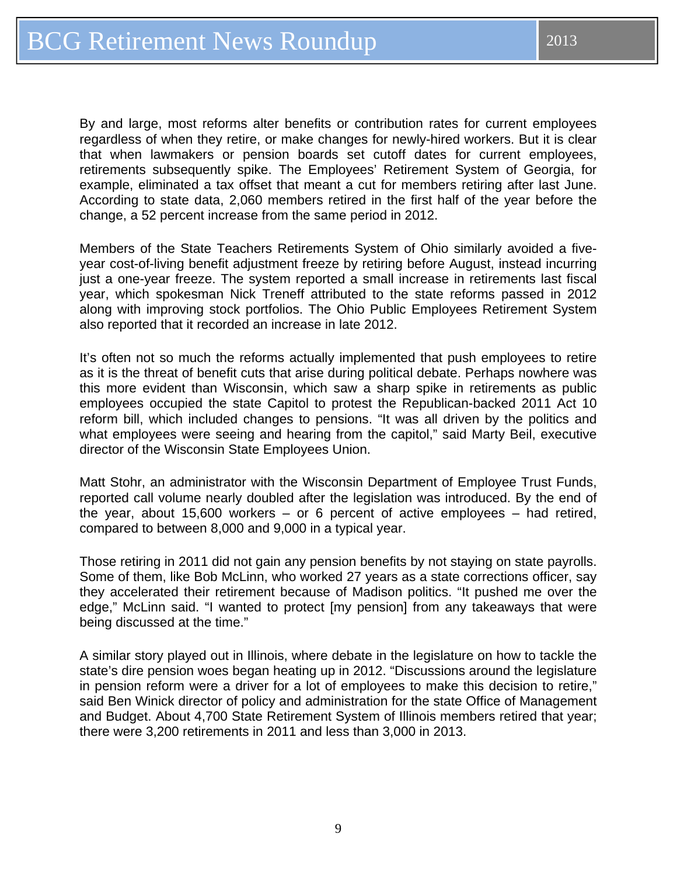By and large, most reforms alter benefits or contribution rates for current employees regardless of when they retire, or make changes for newly-hired workers. But it is clear that when lawmakers or pension boards set cutoff dates for current employees, retirements subsequently spike. The Employees' Retirement System of Georgia, for

example, eliminated a tax offset that meant a cut for members retiring after last June. According to state data, 2,060 members retired in the first half of the year before the change, a 52 percent increase from the same period in 2012.

Members of the State Teachers Retirements System of Ohio similarly avoided a fiveyear cost-of-living benefit adjustment freeze by retiring before August, instead incurring just a one-year freeze. The system reported a small increase in retirements last fiscal year, which spokesman Nick Treneff attributed to the state reforms passed in 2012 along with improving stock portfolios. The Ohio Public Employees Retirement System also reported that it recorded an increase in late 2012.

It's often not so much the reforms actually implemented that push employees to retire as it is the threat of benefit cuts that arise during political debate. Perhaps nowhere was this more evident than Wisconsin, which saw a sharp spike in retirements as public employees occupied the state Capitol to protest the Republican-backed 2011 Act 10 reform bill, which included changes to pensions. "It was all driven by the politics and what employees were seeing and hearing from the capitol," said Marty Beil, executive director of the Wisconsin State Employees Union.

Matt Stohr, an administrator with the Wisconsin Department of Employee Trust Funds, reported call volume nearly doubled after the legislation was introduced. By the end of the year, about 15,600 workers – or 6 percent of active employees – had retired, compared to between 8,000 and 9,000 in a typical year.

Those retiring in 2011 did not gain any pension benefits by not staying on state payrolls. Some of them, like Bob McLinn, who worked 27 years as a state corrections officer, say they accelerated their retirement because of Madison politics. "It pushed me over the edge," McLinn said. "I wanted to protect [my pension] from any takeaways that were being discussed at the time."

A similar story played out in Illinois, where debate in the legislature on how to tackle the state's dire pension woes began heating up in 2012. "Discussions around the legislature in pension reform were a driver for a lot of employees to make this decision to retire," said Ben Winick director of policy and administration for the state Office of Management and Budget. About 4,700 State Retirement System of Illinois members retired that year; there were 3,200 retirements in 2011 and less than 3,000 in 2013.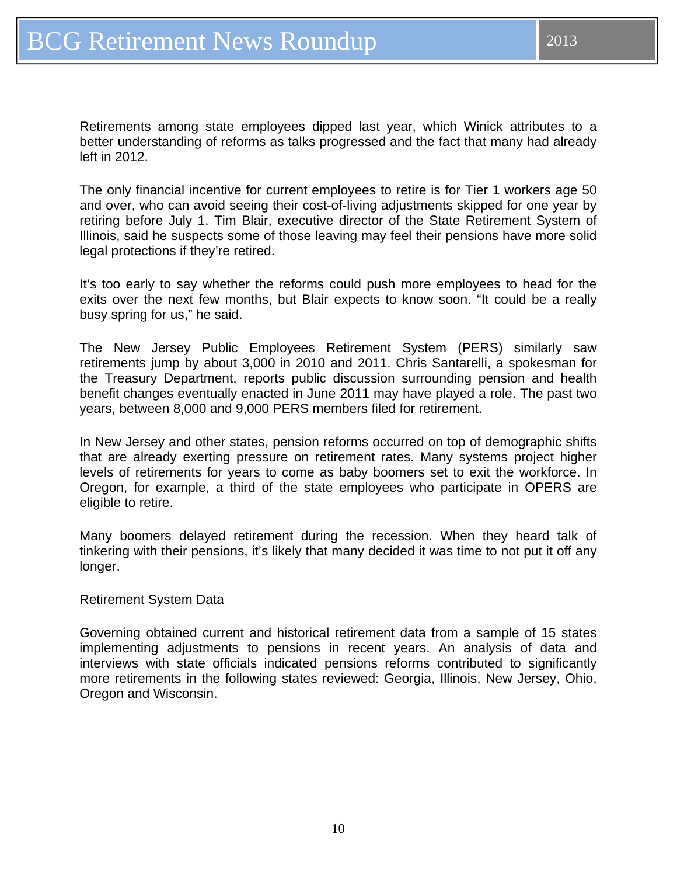Retirements among state employees dipped last year, which Winick attributes to a better understanding of reforms as talks progressed and the fact that many had already left in 2012.

The only financial incentive for current employees to retire is for Tier 1 workers age 50 and over, who can avoid seeing their cost-of-living adjustments skipped for one year by retiring before July 1. Tim Blair, executive director of the State Retirement System of Illinois, said he suspects some of those leaving may feel their pensions have more solid legal protections if they're retired.

It's too early to say whether the reforms could push more employees to head for the exits over the next few months, but Blair expects to know soon. "It could be a really busy spring for us," he said.

The New Jersey Public Employees Retirement System (PERS) similarly saw retirements jump by about 3,000 in 2010 and 2011. Chris Santarelli, a spokesman for the Treasury Department, reports public discussion surrounding pension and health benefit changes eventually enacted in June 2011 may have played a role. The past two years, between 8,000 and 9,000 PERS members filed for retirement.

In New Jersey and other states, pension reforms occurred on top of demographic shifts that are already exerting pressure on retirement rates. Many systems project higher levels of retirements for years to come as baby boomers set to exit the workforce. In Oregon, for example, a third of the state employees who participate in OPERS are eligible to retire.

Many boomers delayed retirement during the recession. When they heard talk of tinkering with their pensions, it's likely that many decided it was time to not put it off any longer.

### Retirement System Data

Governing obtained current and historical retirement data from a sample of 15 states implementing adjustments to pensions in recent years. An analysis of data and interviews with state officials indicated pensions reforms contributed to significantly more retirements in the following states reviewed: Georgia, Illinois, New Jersey, Ohio, Oregon and Wisconsin.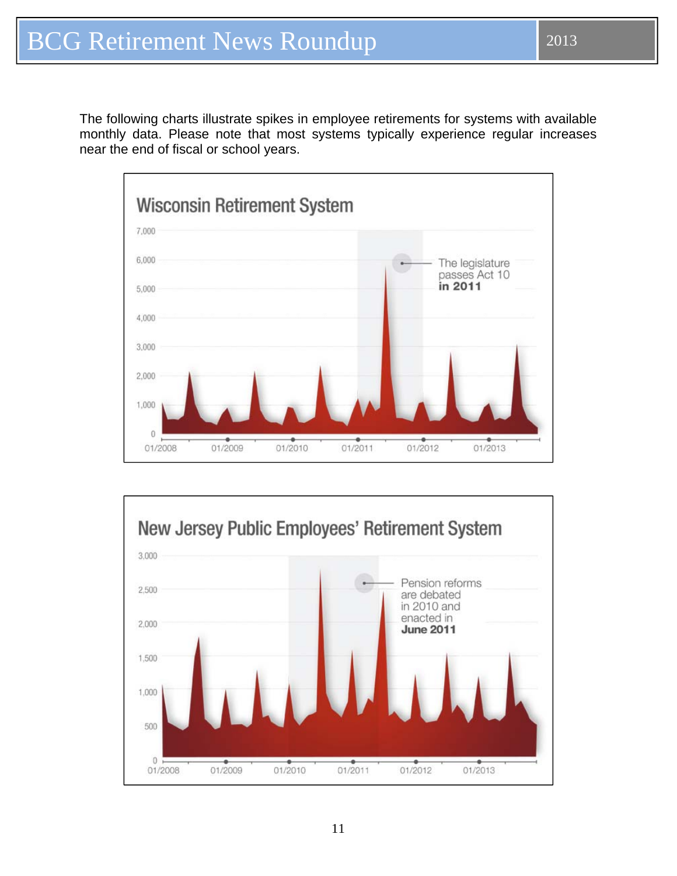The following charts illustrate spikes in employee retirements for systems with available monthly data. Please note that most systems typically experience regular increases near the end of fiscal or school years.



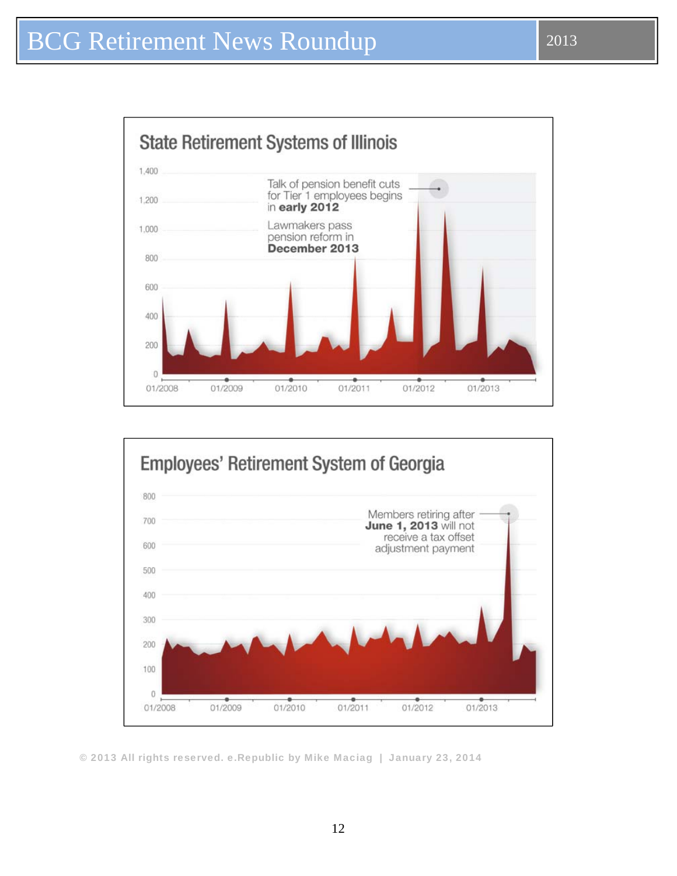



© 2013 All rights reserved. e.Republic by Mike Maciag | January 23, 2014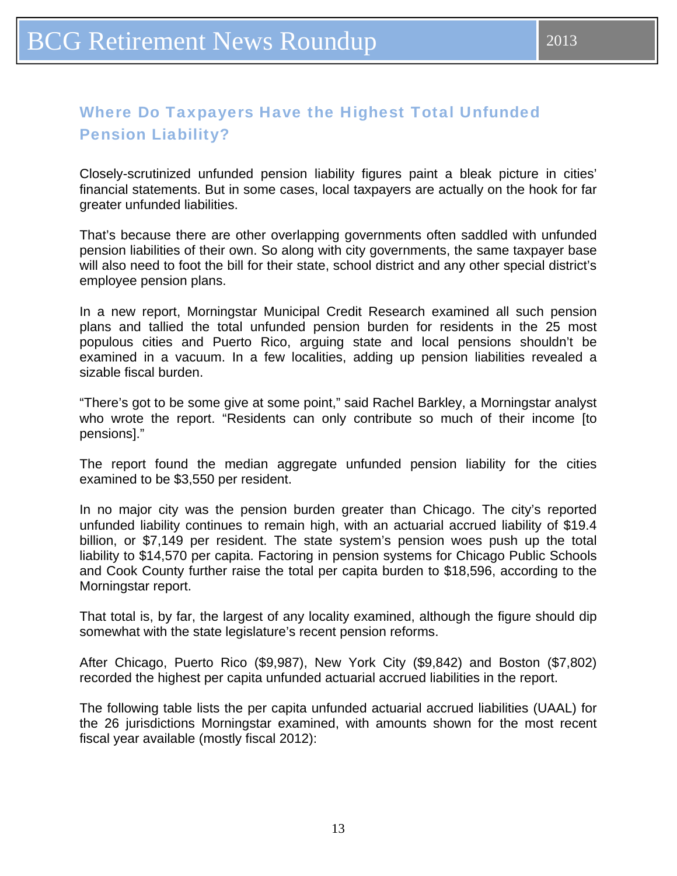## <span id="page-12-0"></span>Where Do Taxpayers Have the Highest Total Unfunded Pension Liability?

Closely-scrutinized unfunded pension liability figures paint a bleak picture in cities' financial statements. But in some cases, local taxpayers are actually on the hook for far greater unfunded liabilities.

That's because there are other overlapping governments often saddled with unfunded pension liabilities of their own. So along with city governments, the same taxpayer base will also need to foot the bill for their state, school district and any other special district's employee pension plans.

In a new report, Morningstar Municipal Credit Research examined all such pension plans and tallied the total unfunded pension burden for residents in the 25 most populous cities and Puerto Rico, arguing state and local pensions shouldn't be examined in a vacuum. In a few localities, adding up pension liabilities revealed a sizable fiscal burden.

"There's got to be some give at some point," said Rachel Barkley, a Morningstar analyst who wrote the report. "Residents can only contribute so much of their income [to pensions]."

The report found the median aggregate unfunded pension liability for the cities examined to be \$3,550 per resident.

In no major city was the pension burden greater than Chicago. The city's reported unfunded liability continues to remain high, with an actuarial accrued liability of \$19.4 billion, or \$7,149 per resident. The state system's pension woes push up the total liability to \$14,570 per capita. Factoring in pension systems for Chicago Public Schools and Cook County further raise the total per capita burden to \$18,596, according to the Morningstar report.

That total is, by far, the largest of any locality examined, although the figure should dip somewhat with the state legislature's recent pension reforms.

After Chicago, Puerto Rico (\$9,987), New York City (\$9,842) and Boston (\$7,802) recorded the highest per capita unfunded actuarial accrued liabilities in the report.

The following table lists the per capita unfunded actuarial accrued liabilities (UAAL) for the 26 jurisdictions Morningstar examined, with amounts shown for the most recent fiscal year available (mostly fiscal 2012):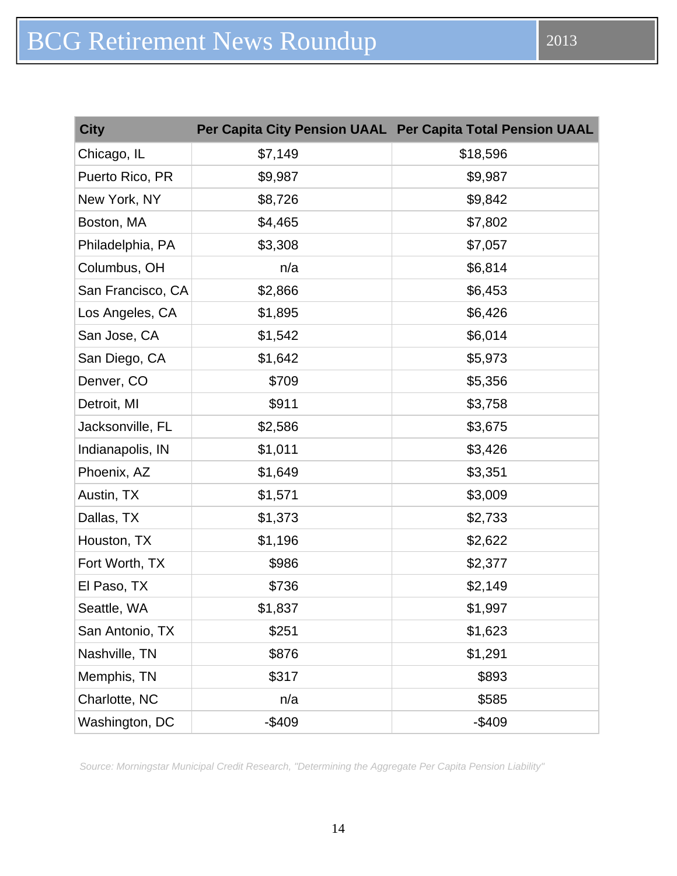| <b>City</b>       |         | Per Capita City Pension UAAL Per Capita Total Pension UAAL |
|-------------------|---------|------------------------------------------------------------|
| Chicago, IL       | \$7,149 | \$18,596                                                   |
| Puerto Rico, PR   | \$9,987 | \$9,987                                                    |
| New York, NY      | \$8,726 | \$9,842                                                    |
| Boston, MA        | \$4,465 | \$7,802                                                    |
| Philadelphia, PA  | \$3,308 | \$7,057                                                    |
| Columbus, OH      | n/a     | \$6,814                                                    |
| San Francisco, CA | \$2,866 | \$6,453                                                    |
| Los Angeles, CA   | \$1,895 | \$6,426                                                    |
| San Jose, CA      | \$1,542 | \$6,014                                                    |
| San Diego, CA     | \$1,642 | \$5,973                                                    |
| Denver, CO        | \$709   | \$5,356                                                    |
| Detroit, MI       | \$911   | \$3,758                                                    |
| Jacksonville, FL  | \$2,586 | \$3,675                                                    |
| Indianapolis, IN  | \$1,011 | \$3,426                                                    |
| Phoenix, AZ       | \$1,649 | \$3,351                                                    |
| Austin, TX        | \$1,571 | \$3,009                                                    |
| Dallas, TX        | \$1,373 | \$2,733                                                    |
| Houston, TX       | \$1,196 | \$2,622                                                    |
| Fort Worth, TX    | \$986   | \$2,377                                                    |
| El Paso, TX       | \$736   | \$2,149                                                    |
| Seattle, WA       | \$1,837 | \$1,997                                                    |
| San Antonio, TX   | \$251   | \$1,623                                                    |
| Nashville, TN     | \$876   | \$1,291                                                    |
| Memphis, TN       | \$317   | \$893                                                      |
| Charlotte, NC     | n/a     | \$585                                                      |
| Washington, DC    | $-$409$ | $-$409$                                                    |

*Source: Morningstar Municipal Credit Research, "Determining the Aggregate Per Capita Pension Liability"*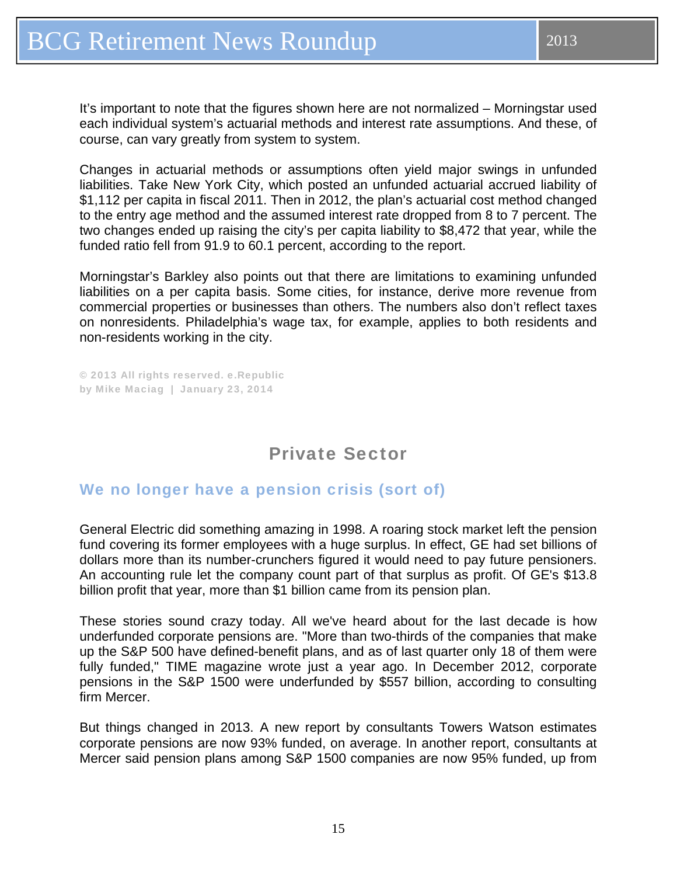<span id="page-14-0"></span>It's important to note that the figures shown here are not normalized – Morningstar used each individual system's actuarial methods and interest rate assumptions. And these, of course, can vary greatly from system to system.

Changes in actuarial methods or assumptions often yield major swings in unfunded liabilities. Take New York City, which posted an unfunded actuarial accrued liability of \$1,112 per capita in fiscal 2011. Then in 2012, the plan's actuarial cost method changed to the entry age method and the assumed interest rate dropped from 8 to 7 percent. The two changes ended up raising the city's per capita liability to \$8,472 that year, while the funded ratio fell from 91.9 to 60.1 percent, according to the report.

Morningstar's Barkley also points out that there are limitations to examining unfunded liabilities on a per capita basis. Some cities, for instance, derive more revenue from commercial properties or businesses than others. The numbers also don't reflect taxes on nonresidents. Philadelphia's wage tax, for example, applies to both residents and non-residents working in the city.

© 2013 All rights reserved. e.Republic by Mike Maciag | January 23, 2014

# Private Sector

### We no longer have a pension crisis (sort of)

General Electric did something amazing in 1998. A roaring stock market left the pension fund covering its former employees with a huge surplus. In effect, GE had set billions of dollars more than its number-crunchers figured it would need to pay future pensioners. An accounting rule let the company count part of that surplus as profit. Of GE's \$13.8 billion profit that year, more than \$1 billion came from its pension plan.

These stories sound crazy today. All we've heard about for the last decade is how underfunded corporate pensions are. "More than two-thirds of the companies that make up the S&P 500 have defined-benefit plans, and as of last quarter only 18 of them were fully funded," TIME magazine wrote just a year ago. In December 2012, corporate pensions in the S&P 1500 were underfunded by \$557 billion, according to consulting firm Mercer.

But things changed in 2013. A new report by consultants Towers Watson estimates corporate pensions are now 93% funded, on average. In another report, consultants at Mercer said pension plans among S&P 1500 companies are now 95% funded, up from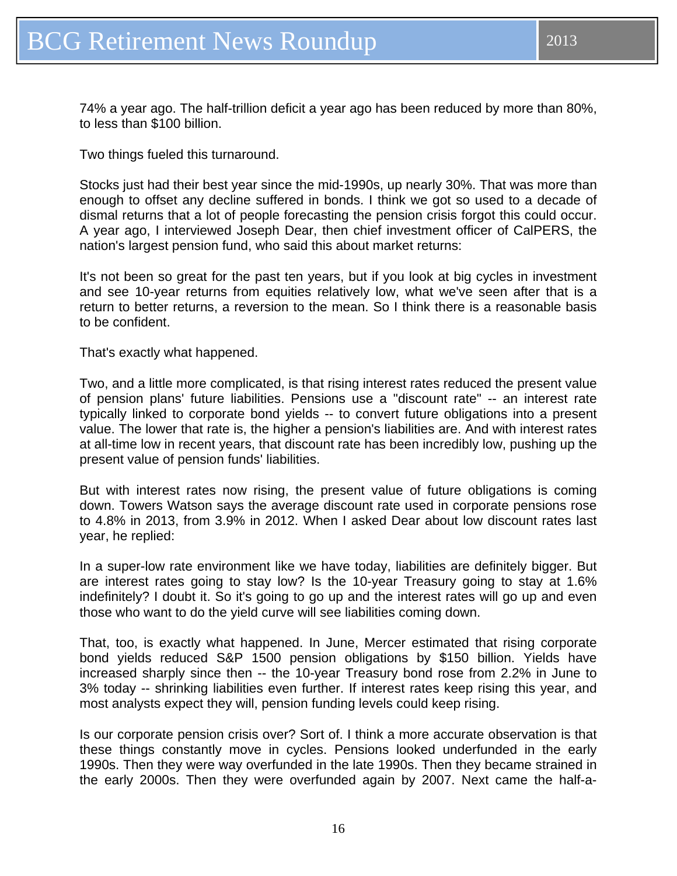Two things fueled this turnaround.

Stocks just had their best year since the mid-1990s, up nearly 30%. That was more than enough to offset any decline suffered in bonds. I think we got so used to a decade of dismal returns that a lot of people forecasting the pension crisis forgot this could occur. A year ago, I interviewed Joseph Dear, then chief investment officer of CalPERS, the nation's largest pension fund, who said this about market returns:

It's not been so great for the past ten years, but if you look at big cycles in investment and see 10-year returns from equities relatively low, what we've seen after that is a return to better returns, a reversion to the mean. So I think there is a reasonable basis to be confident.

That's exactly what happened.

Two, and a little more complicated, is that rising interest rates reduced the present value of pension plans' future liabilities. Pensions use a "discount rate" -- an interest rate typically linked to corporate bond yields -- to convert future obligations into a present value. The lower that rate is, the higher a pension's liabilities are. And with interest rates at all-time low in recent years, that discount rate has been incredibly low, pushing up the present value of pension funds' liabilities.

But with interest rates now rising, the present value of future obligations is coming down. Towers Watson says the average discount rate used in corporate pensions rose to 4.8% in 2013, from 3.9% in 2012. When I asked Dear about low discount rates last year, he replied:

In a super-low rate environment like we have today, liabilities are definitely bigger. But are interest rates going to stay low? Is the 10-year Treasury going to stay at 1.6% indefinitely? I doubt it. So it's going to go up and the interest rates will go up and even those who want to do the yield curve will see liabilities coming down.

That, too, is exactly what happened. In June, Mercer estimated that rising corporate bond yields reduced S&P 1500 pension obligations by \$150 billion. Yields have increased sharply since then -- the 10-year Treasury bond rose from 2.2% in June to 3% today -- shrinking liabilities even further. If interest rates keep rising this year, and most analysts expect they will, pension funding levels could keep rising.

Is our corporate pension crisis over? Sort of. I think a more accurate observation is that these things constantly move in cycles. Pensions looked underfunded in the early 1990s. Then they were way overfunded in the late 1990s. Then they became strained in the early 2000s. Then they were overfunded again by 2007. Next came the half-a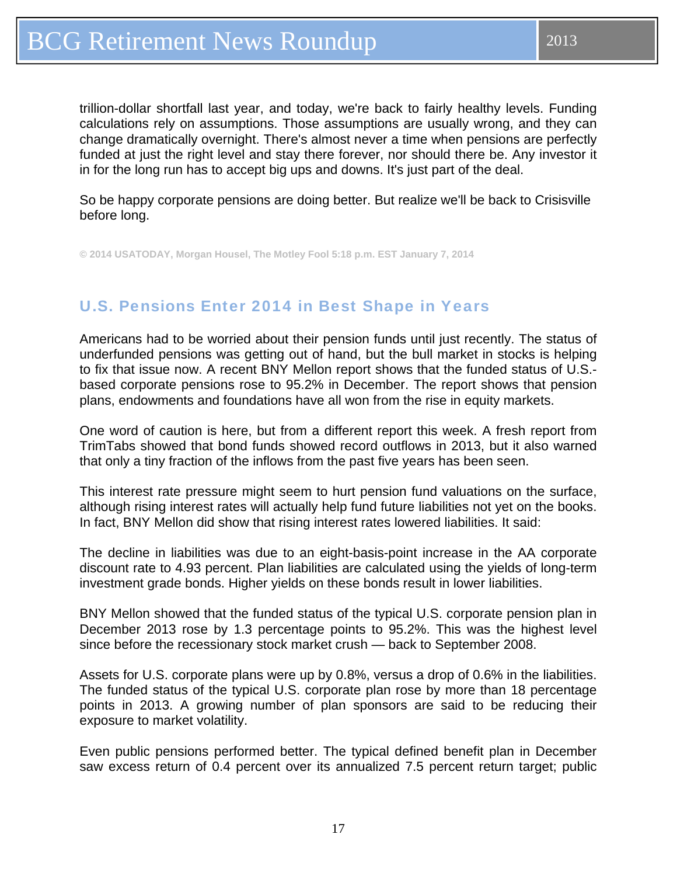<span id="page-16-0"></span>trillion-dollar shortfall last year, and today, we're back to fairly healthy levels. Funding calculations rely on assumptions. Those assumptions are usually wrong, and they can change dramatically overnight. There's almost never a time when pensions are perfectly funded at just the right level and stay there forever, nor should there be. Any investor it in for the long run has to accept big ups and downs. It's just part of the deal.

So be happy corporate pensions are doing better. But realize we'll be back to Crisisville before long.

**© 2014 USATODAY, Morgan Housel, The Motley Fool 5:18 p.m. EST January 7, 2014** 

### U.S. Pensions Enter 2014 in Best Shape in Years

Americans had to be worried about their pension funds until just recently. The status of underfunded pensions was getting out of hand, but the bull market in stocks is helping to fix that issue now. A recent BNY Mellon report shows that the funded status of U.S. based corporate pensions rose to 95.2% in December. The report shows that pension plans, endowments and foundations have all won from the rise in equity markets.

One word of caution is here, but from a different report this week. A fresh report from TrimTabs showed that bond funds showed record outflows in 2013, but it also warned that only a tiny fraction of the inflows from the past five years has been seen.

This interest rate pressure might seem to hurt pension fund valuations on the surface, although rising interest rates will actually help fund future liabilities not yet on the books. In fact, BNY Mellon did show that rising interest rates lowered liabilities. It said:

The decline in liabilities was due to an eight-basis-point increase in the AA corporate discount rate to 4.93 percent. Plan liabilities are calculated using the yields of long-term investment grade bonds. Higher yields on these bonds result in lower liabilities.

BNY Mellon showed that the funded status of the typical U.S. corporate pension plan in December 2013 rose by 1.3 percentage points to 95.2%. This was the highest level since before the recessionary stock market crush — back to September 2008.

Assets for U.S. corporate plans were up by 0.8%, versus a drop of 0.6% in the liabilities. The funded status of the typical U.S. corporate plan rose by more than 18 percentage points in 2013. A growing number of plan sponsors are said to be reducing their exposure to market volatility.

Even public pensions performed better. The typical defined benefit plan in December saw excess return of 0.4 percent over its annualized 7.5 percent return target; public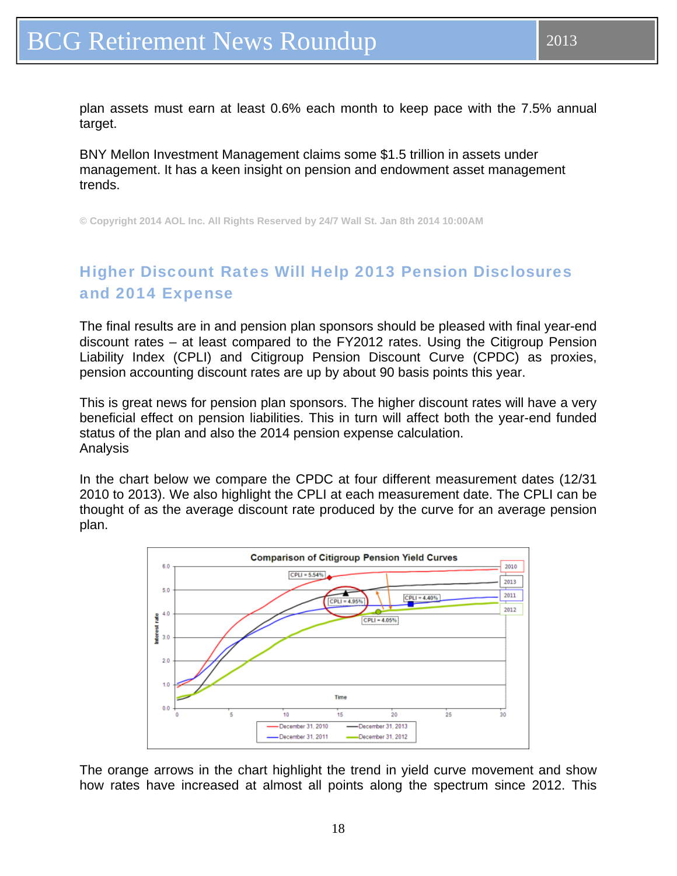<span id="page-17-0"></span>plan assets must earn at least 0.6% each month to keep pace with the 7.5% annual target.

BNY Mellon Investment Management claims some \$1.5 trillion in assets under management. It has a keen insight on pension and endowment asset management trends.

**© Copyright 2014 AOL Inc. All Rights Reserved by 24/7 Wall St. Jan 8th 2014 10:00AM** 

# Higher Discount Rates Will Help 2013 Pension Disclosures and 2014 Expense

The final results are in and pension plan sponsors should be pleased with final year-end discount rates – at least compared to the FY2012 rates. Using the Citigroup Pension Liability Index (CPLI) and Citigroup Pension Discount Curve (CPDC) as proxies, pension accounting discount rates are up by about 90 basis points this year.

This is great news for pension plan sponsors. The higher discount rates will have a very beneficial effect on pension liabilities. This in turn will affect both the year-end funded status of the plan and also the 2014 pension expense calculation. Analysis

In the chart below we compare the CPDC at four different measurement dates (12/31 2010 to 2013). We also highlight the CPLI at each measurement date. The CPLI can be thought of as the average discount rate produced by the curve for an average pension plan.



The orange arrows in the chart highlight the trend in yield curve movement and show how rates have increased at almost all points along the spectrum since 2012. This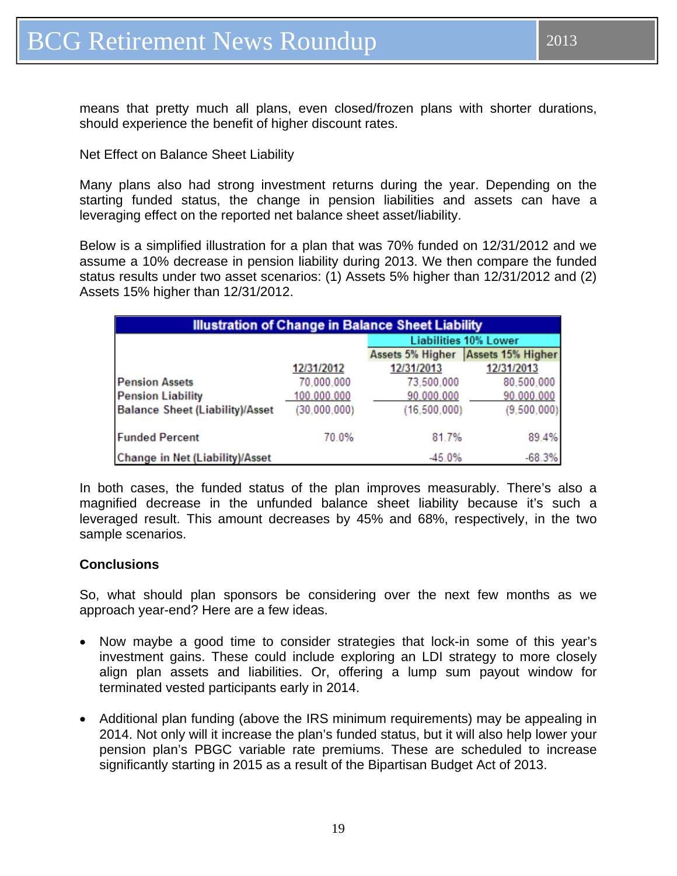means that pretty much all plans, even closed/frozen plans with shorter durations, should experience the benefit of higher discount rates.

Net Effect on Balance Sheet Liability

Many plans also had strong investment returns during the year. Depending on the starting funded status, the change in pension liabilities and assets can have a leveraging effect on the reported net balance sheet asset/liability.

Below is a simplified illustration for a plan that was 70% funded on 12/31/2012 and we assume a 10% decrease in pension liability during 2013. We then compare the funded status results under two asset scenarios: (1) Assets 5% higher than 12/31/2012 and (2) Assets 15% higher than 12/31/2012.

| <b>Illustration of Change in Balance Sheet Liability</b> |              |                              |                                    |  |  |
|----------------------------------------------------------|--------------|------------------------------|------------------------------------|--|--|
|                                                          |              | <b>Liabilities 10% Lower</b> |                                    |  |  |
|                                                          |              |                              | Assets 5% Higher Assets 15% Higher |  |  |
|                                                          | 12/31/2012   | 12/31/2013                   | 12/31/2013                         |  |  |
| <b>Pension Assets</b>                                    | 70,000,000   | 73,500,000                   | 80,500,000                         |  |  |
| <b>Pension Liability</b>                                 | 100,000,000  | 90,000,000                   | 90,000,000                         |  |  |
| <b>Balance Sheet (Liability)/Asset</b>                   | (30,000,000) | (16, 500, 000)               | (9,500,000)                        |  |  |
| <b>Funded Percent</b>                                    | 70.0%        | 81.7%                        | 89.4%                              |  |  |
| <b>Change in Net (Liability)/Asset</b>                   |              | $-45.0%$                     | $-68.3%$                           |  |  |

In both cases, the funded status of the plan improves measurably. There's also a magnified decrease in the unfunded balance sheet liability because it's such a leveraged result. This amount decreases by 45% and 68%, respectively, in the two sample scenarios.

### **Conclusions**

So, what should plan sponsors be considering over the next few months as we approach year-end? Here are a few ideas.

- Now maybe a good time to consider strategies that lock-in some of this year's investment gains. These could include exploring an LDI strategy to more closely align plan assets and liabilities. Or, offering a lump sum payout window for terminated vested participants early in 2014.
- Additional plan funding (above the IRS minimum requirements) may be appealing in 2014. Not only will it increase the plan's funded status, but it will also help lower your pension plan's PBGC variable rate premiums. These are scheduled to increase significantly starting in 2015 as a result of the Bipartisan Budget Act of 2013.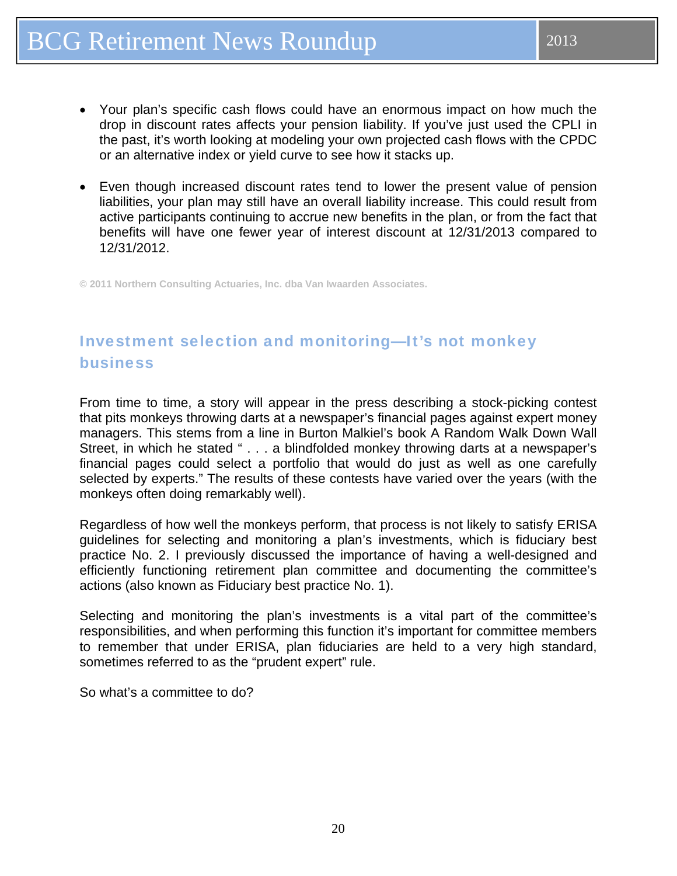- <span id="page-19-0"></span> Your plan's specific cash flows could have an enormous impact on how much the drop in discount rates affects your pension liability. If you've just used the CPLI in the past, it's worth looking at modeling your own projected cash flows with the CPDC or an alternative index or yield curve to see how it stacks up.
- Even though increased discount rates tend to lower the present value of pension liabilities, your plan may still have an overall liability increase. This could result from active participants continuing to accrue new benefits in the plan, or from the fact that benefits will have one fewer year of interest discount at 12/31/2013 compared to 12/31/2012.

**© 2011 Northern Consulting Actuaries, Inc. dba Van Iwaarden Associates.**

# Investment selection and monitoring—It's not monkey business

From time to time, a story will appear in the press describing a stock-picking contest that pits monkeys throwing darts at a newspaper's financial pages against expert money managers. This stems from a line in Burton Malkiel's book A Random Walk Down Wall Street, in which he stated " . . . a blindfolded monkey throwing darts at a newspaper's financial pages could select a portfolio that would do just as well as one carefully selected by experts." The results of these contests have varied over the years (with the monkeys often doing remarkably well).

Regardless of how well the monkeys perform, that process is not likely to satisfy ERISA guidelines for selecting and monitoring a plan's investments, which is fiduciary best practice No. 2. I previously discussed the importance of having a well-designed and efficiently functioning retirement plan committee and documenting the committee's actions (also known as Fiduciary best practice No. 1).

Selecting and monitoring the plan's investments is a vital part of the committee's responsibilities, and when performing this function it's important for committee members to remember that under ERISA, plan fiduciaries are held to a very high standard, sometimes referred to as the "prudent expert" rule.

So what's a committee to do?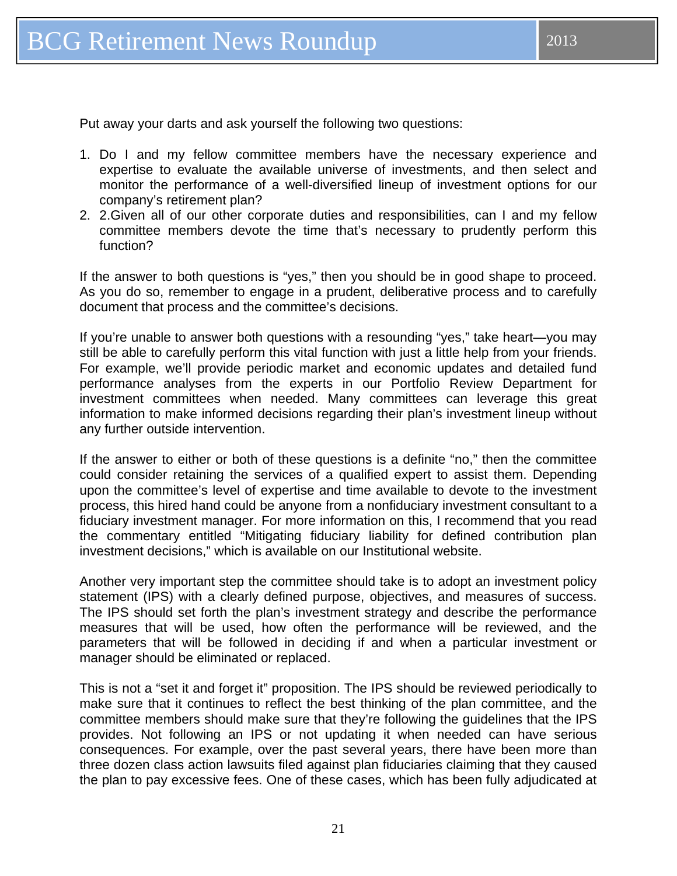Put away your darts and ask yourself the following two questions:

- 1. Do I and my fellow committee members have the necessary experience and expertise to evaluate the available universe of investments, and then select and monitor the performance of a well-diversified lineup of investment options for our company's retirement plan?
- 2. 2.Given all of our other corporate duties and responsibilities, can I and my fellow committee members devote the time that's necessary to prudently perform this function?

If the answer to both questions is "yes," then you should be in good shape to proceed. As you do so, remember to engage in a prudent, deliberative process and to carefully document that process and the committee's decisions.

If you're unable to answer both questions with a resounding "yes," take heart—you may still be able to carefully perform this vital function with just a little help from your friends. For example, we'll provide periodic market and economic updates and detailed fund performance analyses from the experts in our Portfolio Review Department for investment committees when needed. Many committees can leverage this great information to make informed decisions regarding their plan's investment lineup without any further outside intervention.

If the answer to either or both of these questions is a definite "no," then the committee could consider retaining the services of a qualified expert to assist them. Depending upon the committee's level of expertise and time available to devote to the investment process, this hired hand could be anyone from a nonfiduciary investment consultant to a fiduciary investment manager. For more information on this, I recommend that you read the commentary entitled "Mitigating fiduciary liability for defined contribution plan investment decisions," which is available on our Institutional website.

Another very important step the committee should take is to adopt an investment policy statement (IPS) with a clearly defined purpose, objectives, and measures of success. The IPS should set forth the plan's investment strategy and describe the performance measures that will be used, how often the performance will be reviewed, and the parameters that will be followed in deciding if and when a particular investment or manager should be eliminated or replaced.

This is not a "set it and forget it" proposition. The IPS should be reviewed periodically to make sure that it continues to reflect the best thinking of the plan committee, and the committee members should make sure that they're following the guidelines that the IPS provides. Not following an IPS or not updating it when needed can have serious consequences. For example, over the past several years, there have been more than three dozen class action lawsuits filed against plan fiduciaries claiming that they caused the plan to pay excessive fees. One of these cases, which has been fully adjudicated at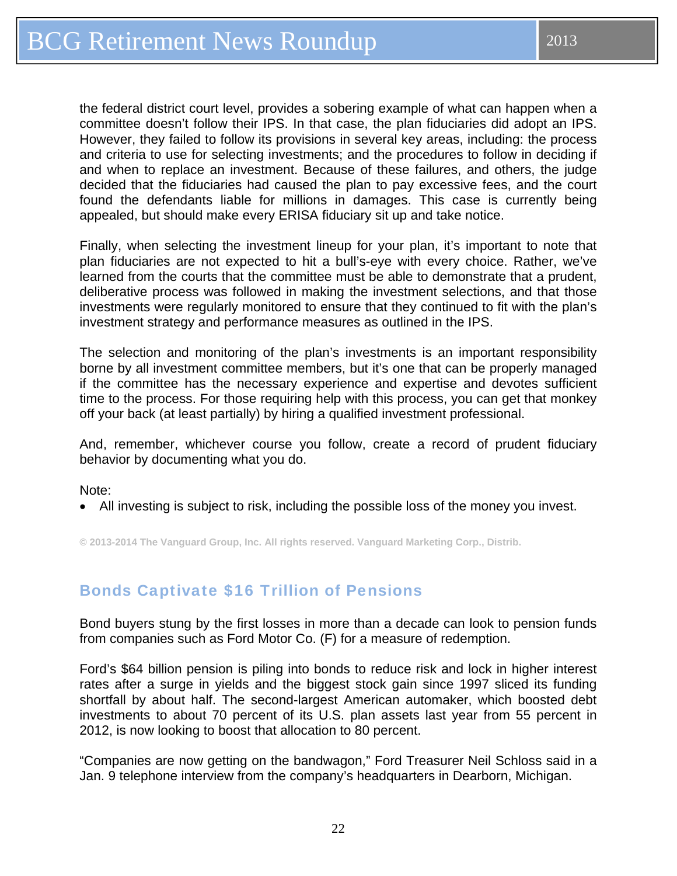<span id="page-21-0"></span>the federal district court level, provides a sobering example of what can happen when a committee doesn't follow their IPS. In that case, the plan fiduciaries did adopt an IPS. However, they failed to follow its provisions in several key areas, including: the process and criteria to use for selecting investments; and the procedures to follow in deciding if and when to replace an investment. Because of these failures, and others, the judge decided that the fiduciaries had caused the plan to pay excessive fees, and the court found the defendants liable for millions in damages. This case is currently being appealed, but should make every ERISA fiduciary sit up and take notice.

Finally, when selecting the investment lineup for your plan, it's important to note that plan fiduciaries are not expected to hit a bull's-eye with every choice. Rather, we've learned from the courts that the committee must be able to demonstrate that a prudent, deliberative process was followed in making the investment selections, and that those investments were regularly monitored to ensure that they continued to fit with the plan's investment strategy and performance measures as outlined in the IPS.

The selection and monitoring of the plan's investments is an important responsibility borne by all investment committee members, but it's one that can be properly managed if the committee has the necessary experience and expertise and devotes sufficient time to the process. For those requiring help with this process, you can get that monkey off your back (at least partially) by hiring a qualified investment professional.

And, remember, whichever course you follow, create a record of prudent fiduciary behavior by documenting what you do.

Note:

All investing is subject to risk, including the possible loss of the money you invest.

**© 2013-2014 The Vanguard Group, Inc. All rights reserved. Vanguard Marketing Corp., Distrib.**

### Bonds Captivate \$16 Trillion of Pensions

Bond buyers stung by the first losses in more than a decade can look to pension funds from companies such as Ford Motor Co. (F) for a measure of redemption.

Ford's \$64 billion pension is piling into bonds to reduce risk and lock in higher interest rates after a surge in yields and the biggest stock gain since 1997 sliced its funding shortfall by about half. The second-largest American automaker, which boosted debt investments to about 70 percent of its U.S. plan assets last year from 55 percent in 2012, is now looking to boost that allocation to 80 percent.

"Companies are now getting on the bandwagon," Ford Treasurer Neil Schloss said in a Jan. 9 telephone interview from the company's headquarters in Dearborn, Michigan.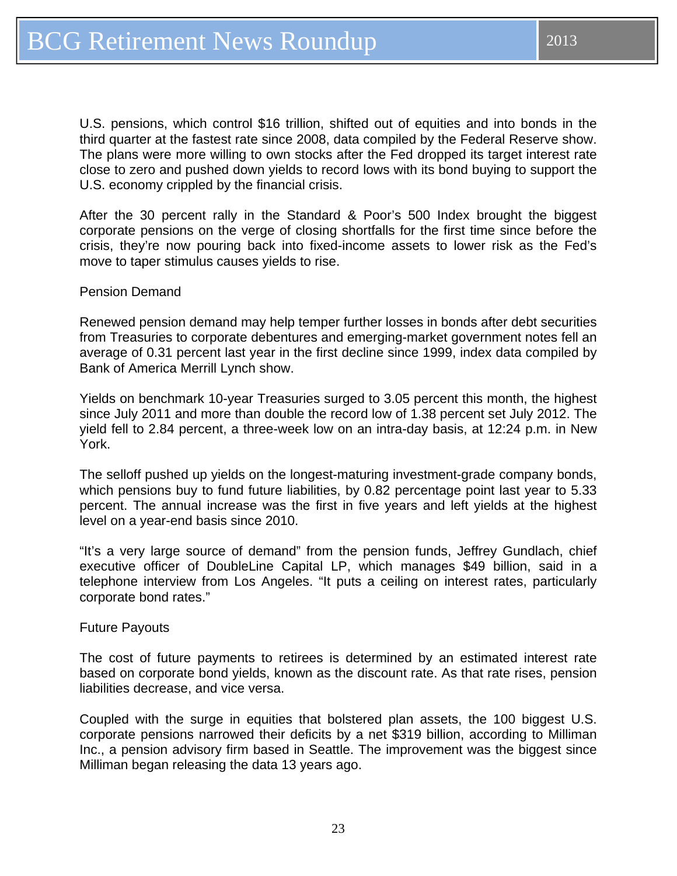U.S. pensions, which control \$16 trillion, shifted out of equities and into bonds in the third quarter at the fastest rate since 2008, data compiled by the Federal Reserve show. The plans were more willing to own stocks after the Fed dropped its target interest rate close to zero and pushed down yields to record lows with its bond buying to support the U.S. economy crippled by the financial crisis.

After the 30 percent rally in the Standard & Poor's 500 Index brought the biggest corporate pensions on the verge of closing shortfalls for the first time since before the crisis, they're now pouring back into fixed-income assets to lower risk as the Fed's move to taper stimulus causes yields to rise.

### Pension Demand

Renewed pension demand may help temper further losses in bonds after debt securities from Treasuries to corporate debentures and emerging-market government notes fell an average of 0.31 percent last year in the first decline since 1999, index data compiled by Bank of America Merrill Lynch show.

Yields on benchmark 10-year Treasuries surged to 3.05 percent this month, the highest since July 2011 and more than double the record low of 1.38 percent set July 2012. The yield fell to 2.84 percent, a three-week low on an intra-day basis, at 12:24 p.m. in New York.

The selloff pushed up yields on the longest-maturing investment-grade company bonds, which pensions buy to fund future liabilities, by 0.82 percentage point last year to 5.33 percent. The annual increase was the first in five years and left yields at the highest level on a year-end basis since 2010.

"It's a very large source of demand" from the pension funds, Jeffrey Gundlach, chief executive officer of DoubleLine Capital LP, which manages \$49 billion, said in a telephone interview from Los Angeles. "It puts a ceiling on interest rates, particularly corporate bond rates."

#### Future Payouts

The cost of future payments to retirees is determined by an estimated interest rate based on corporate bond yields, known as the discount rate. As that rate rises, pension liabilities decrease, and vice versa.

Coupled with the surge in equities that bolstered plan assets, the 100 biggest U.S. corporate pensions narrowed their deficits by a net \$319 billion, according to Milliman Inc., a pension advisory firm based in Seattle. The improvement was the biggest since Milliman began releasing the data 13 years ago.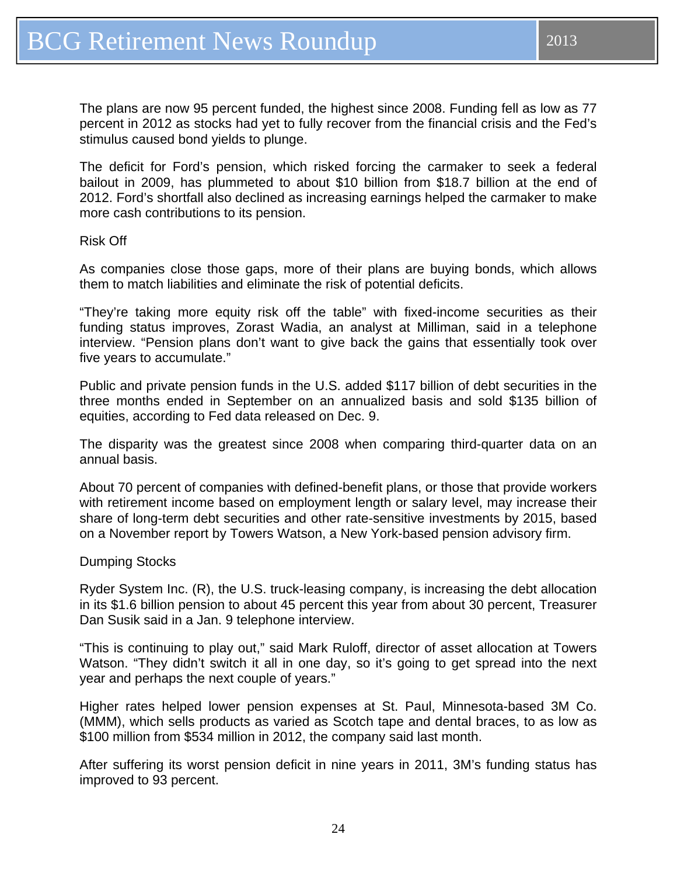The plans are now 95 percent funded, the highest since 2008. Funding fell as low as 77 percent in 2012 as stocks had yet to fully recover from the financial crisis and the Fed's stimulus caused bond yields to plunge.

The deficit for Ford's pension, which risked forcing the carmaker to seek a federal bailout in 2009, has plummeted to about \$10 billion from \$18.7 billion at the end of 2012. Ford's shortfall also declined as increasing earnings helped the carmaker to make more cash contributions to its pension.

#### Risk Off

As companies close those gaps, more of their plans are buying bonds, which allows them to match liabilities and eliminate the risk of potential deficits.

"They're taking more equity risk off the table" with fixed-income securities as their funding status improves, Zorast Wadia, an analyst at Milliman, said in a telephone interview. "Pension plans don't want to give back the gains that essentially took over five years to accumulate."

Public and private pension funds in the U.S. added \$117 billion of debt securities in the three months ended in September on an annualized basis and sold \$135 billion of equities, according to Fed data released on Dec. 9.

The disparity was the greatest since 2008 when comparing third-quarter data on an annual basis.

About 70 percent of companies with defined-benefit plans, or those that provide workers with retirement income based on employment length or salary level, may increase their share of long-term debt securities and other rate-sensitive investments by 2015, based on a November report by Towers Watson, a New York-based pension advisory firm.

#### Dumping Stocks

Ryder System Inc. (R), the U.S. truck-leasing company, is increasing the debt allocation in its \$1.6 billion pension to about 45 percent this year from about 30 percent, Treasurer Dan Susik said in a Jan. 9 telephone interview.

"This is continuing to play out," said Mark Ruloff, director of asset allocation at Towers Watson. "They didn't switch it all in one day, so it's going to get spread into the next year and perhaps the next couple of years."

Higher rates helped lower pension expenses at St. Paul, Minnesota-based 3M Co. (MMM), which sells products as varied as Scotch tape and dental braces, to as low as \$100 million from \$534 million in 2012, the company said last month.

After suffering its worst pension deficit in nine years in 2011, 3M's funding status has improved to 93 percent.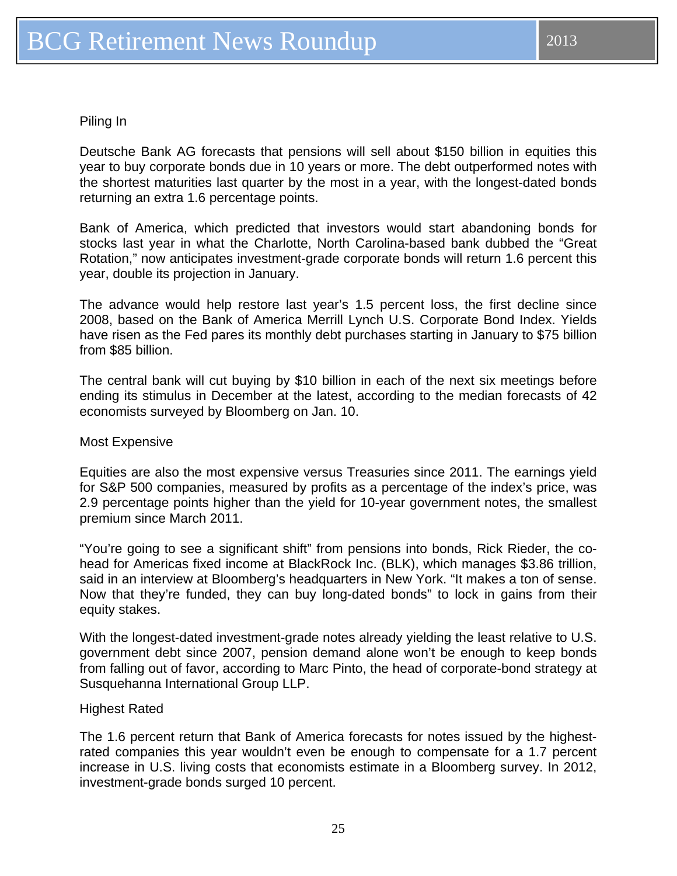### Piling In

Deutsche Bank AG forecasts that pensions will sell about \$150 billion in equities this year to buy corporate bonds due in 10 years or more. The debt outperformed notes with the shortest maturities last quarter by the most in a year, with the longest-dated bonds returning an extra 1.6 percentage points.

Bank of America, which predicted that investors would start abandoning bonds for stocks last year in what the Charlotte, North Carolina-based bank dubbed the "Great Rotation," now anticipates investment-grade corporate bonds will return 1.6 percent this year, double its projection in January.

The advance would help restore last year's 1.5 percent loss, the first decline since 2008, based on the Bank of America Merrill Lynch U.S. Corporate Bond Index. Yields have risen as the Fed pares its monthly debt purchases starting in January to \$75 billion from \$85 billion.

The central bank will cut buying by \$10 billion in each of the next six meetings before ending its stimulus in December at the latest, according to the median forecasts of 42 economists surveyed by Bloomberg on Jan. 10.

#### Most Expensive

Equities are also the most expensive versus Treasuries since 2011. The earnings yield for S&P 500 companies, measured by profits as a percentage of the index's price, was 2.9 percentage points higher than the yield for 10-year government notes, the smallest premium since March 2011.

"You're going to see a significant shift" from pensions into bonds, Rick Rieder, the cohead for Americas fixed income at BlackRock Inc. (BLK), which manages \$3.86 trillion, said in an interview at Bloomberg's headquarters in New York. "It makes a ton of sense. Now that they're funded, they can buy long-dated bonds" to lock in gains from their equity stakes.

With the longest-dated investment-grade notes already yielding the least relative to U.S. government debt since 2007, pension demand alone won't be enough to keep bonds from falling out of favor, according to Marc Pinto, the head of corporate-bond strategy at Susquehanna International Group LLP.

#### Highest Rated

The 1.6 percent return that Bank of America forecasts for notes issued by the highestrated companies this year wouldn't even be enough to compensate for a 1.7 percent increase in U.S. living costs that economists estimate in a Bloomberg survey. In 2012, investment-grade bonds surged 10 percent.